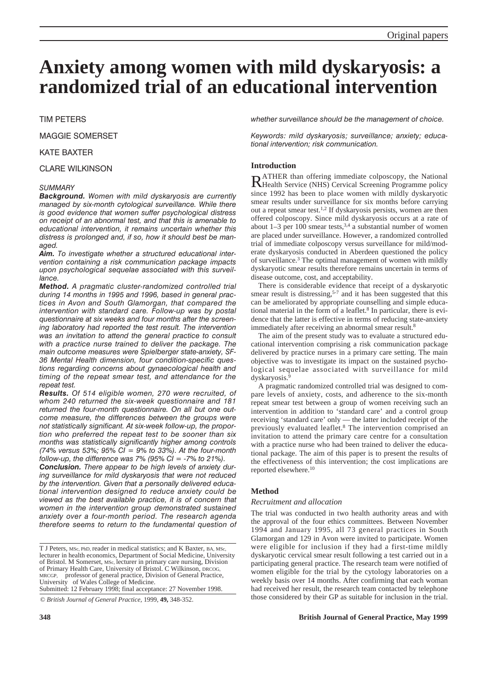# **Anxiety among women with mild dyskaryosis: a randomized trial of an educational intervention**

# TIM PETERS

MAGGIE SOMERSET

# KATE BAXTER

# CLARE WILKINSON

# *SUMMARY*

*Background. Women with mild dyskaryosis are currently managed by six-month cytological surveillance. While there is good evidence that women suffer psychological distress on receipt of an abnormal test, and that this is amenable to educational intervention, it remains uncertain whether this distress is prolonged and, if so, how it should best be managed.* 

*Aim. To investigate whether a structured educational intervention containing a risk communication package impacts upon psychological sequelae associated with this surveillance.*

*Method. A pragmatic cluster-randomized controlled trial during 14 months in 1995 and 1996, based in general practices in Avon and South Glamorgan, that compared the intervention with standard care. Follow-up was by postal questionnaire at six weeks and four months after the screening laboratory had reported the test result. The intervention was an invitation to attend the general practice to consult with a practice nurse trained to deliver the package. The main outcome measures were Spielberger state-anxiety, SF-36 Mental Health dimension, four condition-specific questions regarding concerns about gynaecological health and timing of the repeat smear test, and attendance for the repeat test.*

*Results. Of 514 eligible women, 270 were recruited, of whom 240 returned the six-week questionnaire and 181 returned the four-month questionnaire. On all but one outcome measure, the differences between the groups were not statistically significant. At six-week follow-up, the proportion who preferred the repeat test to be sooner than six months was statistically significantly higher among controls (74% versus 53%; 95% CI = 9% to 33%). At the four-month follow-up, the difference was 7% (95% CI = -7% to 21%).* 

*Conclusion. There appear to be high levels of anxiety during surveillance for mild dyskaryosis that were not reduced by the intervention. Given that a personally delivered educational intervention designed to reduce anxiety could be viewed as the best available practice, it is of concern that women in the intervention group demonstrated sustained anxiety over a four-month period. The research agenda therefore seems to return to the fundamental question of*

*whether surveillance should be the management of choice.*

*Keywords: mild dyskaryosis; surveillance; anxiety; educational intervention; risk communication.*

# **Introduction**

RATHER than offering immediate colposcopy, the National Health Service (NHS) Cervical Screening Programme policy since 1992 has been to place women with mildly dyskaryotic smear results under surveillance for six months before carrying out a repeat smear test.1,2 If dyskaryosis persists, women are then offered colposcopy. Since mild dyskaryosis occurs at a rate of about  $1-3$  per 100 smear tests,  $3,4$  a substantial number of women are placed under surveillance. However, a randomized controlled trial of immediate colposcopy versus surveillance for mild/moderate dyskaryosis conducted in Aberdeen questioned the policy of surveillance.3 The optimal management of women with mildly dyskaryotic smear results therefore remains uncertain in terms of disease outcome, cost, and acceptability.

There is considerable evidence that receipt of a dyskaryotic smear result is distressing,<sup>5-7</sup> and it has been suggested that this can be ameliorated by appropriate counselling and simple educational material in the form of a leaflet.<sup>8</sup> In particular, there is evidence that the latter is effective in terms of reducing state-anxiety immediately after receiving an abnormal smear result.<sup>8</sup>

The aim of the present study was to evaluate a structured educational intervention comprising a risk communication package delivered by practice nurses in a primary care setting. The main objective was to investigate its impact on the sustained psychological sequelae associated with surveillance for mild dyskaryosis.9

A pragmatic randomized controlled trial was designed to compare levels of anxiety, costs, and adherence to the six-month repeat smear test between a group of women receiving such an intervention in addition to 'standard care' and a control group receiving 'standard care' only — the latter included receipt of the previously evaluated leaflet.8 The intervention comprised an invitation to attend the primary care centre for a consultation with a practice nurse who had been trained to deliver the educational package. The aim of this paper is to present the results of the effectiveness of this intervention; the cost implications are reported elsewhere.10

# **Method**

# *Recruitment and allocation*

The trial was conducted in two health authority areas and with the approval of the four ethics committees. Between November 1994 and January 1995, all 73 general practices in South Glamorgan and 129 in Avon were invited to participate. Women were eligible for inclusion if they had a first-time mildly dyskaryotic cervical smear result following a test carried out in a participating general practice. The research team were notified of women eligible for the trial by the cytology laboratories on a weekly basis over 14 months. After confirming that each woman had received her result, the research team contacted by telephone those considered by their GP as suitable for inclusion in the trial.

# **348 British Journal of General Practice, May 1999**

T J Peters, MSc, PhD, reader in medical statistics; and K Baxter, BA, MSc, lecturer in health economics, Department of Social Medicine, University of Bristol. M Somerset, MSc, lecturer in primary care nursing, Division of Primary Health Care, University of Bristol. C Wilkinson, DRCOG, MRCGP, professor of general practice, Division of General Practice, University of Wales College of Medicine. Submitted: 12 February 1998; final acceptance: 27 November 1998.

<sup>©</sup> *British Journal of General Practice,* 1999, **49,** 348-352.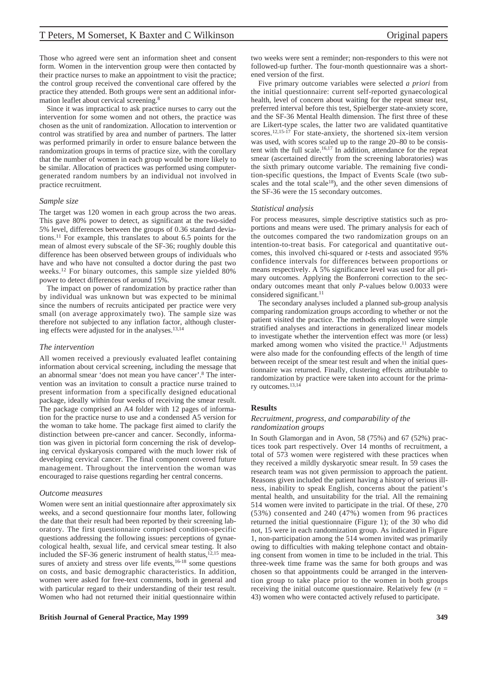Those who agreed were sent an information sheet and consent form. Women in the intervention group were then contacted by their practice nurses to make an appointment to visit the practice; the control group received the conventional care offered by the practice they attended. Both groups were sent an additional information leaflet about cervical screening.<sup>8</sup>

Since it was impractical to ask practice nurses to carry out the intervention for some women and not others, the practice was chosen as the unit of randomization. Allocation to intervention or control was stratified by area and number of partners. The latter was performed primarily in order to ensure balance between the randomization groups in terms of practice size, with the corollary that the number of women in each group would be more likely to be similar. Allocation of practices was performed using computergenerated random numbers by an individual not involved in practice recruitment.

#### *Sample size*

The target was 120 women in each group across the two areas. This gave 80% power to detect, as significant at the two-sided 5% level, differences between the groups of 0.36 standard deviations.11 For example, this translates to about 6.5 points for the mean of almost every subscale of the SF-36; roughly double this difference has been observed between groups of individuals who have and who have not consulted a doctor during the past two weeks.12 For binary outcomes, this sample size yielded 80% power to detect differences of around 15%.

The impact on power of randomization by practice rather than by individual was unknown but was expected to be minimal since the numbers of recruits anticipated per practice were very small (on average approximately two). The sample size was therefore not subjected to any inflation factor, although clustering effects were adjusted for in the analyses.13,14

### *The intervention*

All women received a previously evaluated leaflet containing information about cervical screening, including the message that an abnormal smear 'does not mean you have cancer'.8 The intervention was an invitation to consult a practice nurse trained to present information from a specifically designed educational package, ideally within four weeks of receiving the smear result. The package comprised an A4 folder with 12 pages of information for the practice nurse to use and a condensed A5 version for the woman to take home. The package first aimed to clarify the distinction between pre-cancer and cancer. Secondly, information was given in pictorial form concerning the risk of developing cervical dyskaryosis compared with the much lower risk of developing cervical cancer. The final component covered future management. Throughout the intervention the woman was encouraged to raise questions regarding her central concerns.

#### *Outcome measures*

Women were sent an initial questionnaire after approximately six weeks, and a second questionnaire four months later, following the date that their result had been reported by their screening laboratory. The first questionnaire comprised condition-specific questions addressing the following issues: perceptions of gynaecological health, sexual life, and cervical smear testing. It also included the SF-36 generic instrument of health status, $12,15$  measures of anxiety and stress over life events,<sup>16-18</sup> some questions on costs, and basic demographic characteristics. In addition, women were asked for free-text comments, both in general and with particular regard to their understanding of their test result. Women who had not returned their initial questionnaire within

**British Journal of General Practice, May 1999 349**

two weeks were sent a reminder; non-responders to this were not followed-up further. The four-month questionnaire was a shortened version of the first.

Five primary outcome variables were selected *a priori* from the initial questionnaire: current self-reported gynaecological health, level of concern about waiting for the repeat smear test, preferred interval before this test, Spielberger state-anxiety score, and the SF-36 Mental Health dimension. The first three of these are Likert-type scales, the latter two are validated quantitative scores.<sup>12,15-17</sup> For state-anxiety, the shortened six-item version was used, with scores scaled up to the range 20–80 to be consistent with the full scale.16,17 In addition, attendance for the repeat smear (ascertained directly from the screening laboratories) was the sixth primary outcome variable. The remaining five condition-specific questions, the Impact of Events Scale (two subscales and the total scale<sup>18</sup>), and the other seven dimensions of the SF-36 were the 15 secondary outcomes.

#### *Statistical analysis*

For process measures, simple descriptive statistics such as proportions and means were used. The primary analysis for each of the outcomes compared the two randomization groups on an intention-to-treat basis. For categorical and quantitative outcomes, this involved chi-squared or *t*-tests and associated 95% confidence intervals for differences between proportions or means respectively. A 5% significance level was used for all primary outcomes. Applying the Bonferroni correction to the secondary outcomes meant that only *P*-values below 0.0033 were considered significant. $11$ 

The secondary analyses included a planned sub-group analysis comparing randomization groups according to whether or not the patient visited the practice. The methods employed were simple stratified analyses and interactions in generalized linear models to investigate whether the intervention effect was more (or less) marked among women who visited the practice.<sup>11</sup> Adjustments were also made for the confounding effects of the length of time between receipt of the smear test result and when the initial questionnaire was returned. Finally, clustering effects attributable to randomization by practice were taken into account for the primary outcomes.13,14

## **Results**

## *Recruitment, progress, and comparability of the randomization groups*

In South Glamorgan and in Avon, 58 (75%) and 67 (52%) practices took part respectively. Over 14 months of recruitment, a total of 573 women were registered with these practices when they received a mildly dyskaryotic smear result. In 59 cases the research team was not given permission to approach the patient. Reasons given included the patient having a history of serious illness, inability to speak English, concerns about the patient's mental health, and unsuitability for the trial. All the remaining 514 women were invited to participate in the trial. Of these, 270 (53%) consented and 240 (47%) women from 96 practices returned the initial questionnaire (Figure 1); of the 30 who did not, 15 were in each randomization group. As indicated in Figure 1, non-participation among the 514 women invited was primarily owing to difficulties with making telephone contact and obtaining consent from women in time to be included in the trial. This three-week time frame was the same for both groups and was chosen so that appointments could be arranged in the intervention group to take place prior to the women in both groups receiving the initial outcome questionnaire. Relatively few  $(n =$ 43) women who were contacted actively refused to participate.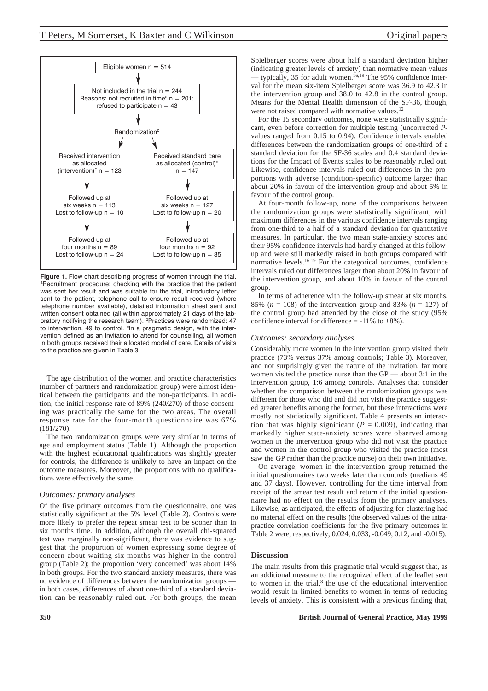

**Figure 1.** Flow chart describing progress of women through the trial. aRecruitment procedure: checking with the practice that the patient was sent her result and was suitable for the trial, introductory letter sent to the patient, telephone call to ensure result received (where telephone number available), detailed information sheet sent and written consent obtained (all within approximately 21 days of the laboratory notifying the research team). bPractices were randomized: 47 to intervention, 49 to control. <sup>c</sup>In a pragmatic design, with the intervention defined as an invitation to attend for counselling, all women in both groups received their allocated model of care. Details of visits to the practice are given in Table 3.

The age distribution of the women and practice characteristics (number of partners and randomization group) were almost identical between the participants and the non-participants. In addition, the initial response rate of 89% (240/270) of those consenting was practically the same for the two areas. The overall response rate for the four-month questionnaire was 67% (181/270).

The two randomization groups were very similar in terms of age and employment status (Table 1). Although the proportion with the highest educational qualifications was slightly greater for controls, the difference is unlikely to have an impact on the outcome measures. Moreover, the proportions with no qualifications were effectively the same.

#### *Outcomes: primary analyses*

Of the five primary outcomes from the questionnaire, one was statistically significant at the 5% level (Table 2). Controls were more likely to prefer the repeat smear test to be sooner than in six months time. In addition, although the overall chi-squared test was marginally non-significant, there was evidence to suggest that the proportion of women expressing some degree of concern about waiting six months was higher in the control group (Table 2); the proportion 'very concerned' was about 14% in both groups. For the two standard anxiety measures, there was no evidence of differences between the randomization groups in both cases, differences of about one-third of a standard deviation can be reasonably ruled out. For both groups, the mean

Spielberger scores were about half a standard deviation higher (indicating greater levels of anxiety) than normative mean values - typically, 35 for adult women.<sup>16,19</sup> The 95% confidence interval for the mean six-item Spielberger score was 36.9 to 42.3 in the intervention group and 38.0 to 42.8 in the control group. Means for the Mental Health dimension of the SF-36, though, were not raised compared with normative values.<sup>12</sup>

For the 15 secondary outcomes, none were statistically significant, even before correction for multiple testing (uncorrected *P*values ranged from 0.15 to 0.94). Confidence intervals enabled differences between the randomization groups of one-third of a standard deviation for the SF-36 scales and 0.4 standard deviations for the Impact of Events scales to be reasonably ruled out. Likewise, confidence intervals ruled out differences in the proportions with adverse (condition-specific) outcome larger than about 20% in favour of the intervention group and about 5% in favour of the control group.

At four-month follow-up, none of the comparisons between the randomization groups were statistically significant, with maximum differences in the various confidence intervals ranging from one-third to a half of a standard deviation for quantitative measures. In particular, the two mean state-anxiety scores and their 95% confidence intervals had hardly changed at this followup and were still markedly raised in both groups compared with normative levels.16,19 For the categorical outcomes, confidence intervals ruled out differences larger than about 20% in favour of the intervention group, and about 10% in favour of the control group.

In terms of adherence with the follow-up smear at six months, 85% ( $n = 108$ ) of the intervention group and 83% ( $n = 127$ ) of the control group had attended by the close of the study (95% confidence interval for difference  $= -11\%$  to  $+8\%$ ).

#### *Outcomes: secondary analyses*

Considerably more women in the intervention group visited their practice (73% versus 37% among controls; Table 3). Moreover, and not surprisingly given the nature of the invitation, far more women visited the practice nurse than the GP — about 3:1 in the intervention group, 1:6 among controls. Analyses that consider whether the comparison between the randomization groups was different for those who did and did not visit the practice suggested greater benefits among the former, but these interactions were mostly not statistically significant. Table 4 presents an interaction that was highly significant ( $P = 0.009$ ), indicating that markedly higher state-anxiety scores were observed among women in the intervention group who did not visit the practice and women in the control group who visited the practice (most saw the GP rather than the practice nurse) on their own initiative.

On average, women in the intervention group returned the initial questionnaires two weeks later than controls (medians 49 and 37 days). However, controlling for the time interval from receipt of the smear test result and return of the initial questionnaire had no effect on the results from the primary analyses. Likewise, as anticipated, the effects of adjusting for clustering had no material effect on the results (the observed values of the intrapractice correlation coefficients for the five primary outcomes in Table 2 were, respectively, 0.024, 0.033, -0.049, 0.12, and -0.015).

## **Discussion**

The main results from this pragmatic trial would suggest that, as an additional measure to the recognized effect of the leaflet sent to women in the trial,<sup>8</sup> the use of the educational intervention would result in limited benefits to women in terms of reducing levels of anxiety. This is consistent with a previous finding that,

## **350 British Journal of General Practice, May 1999**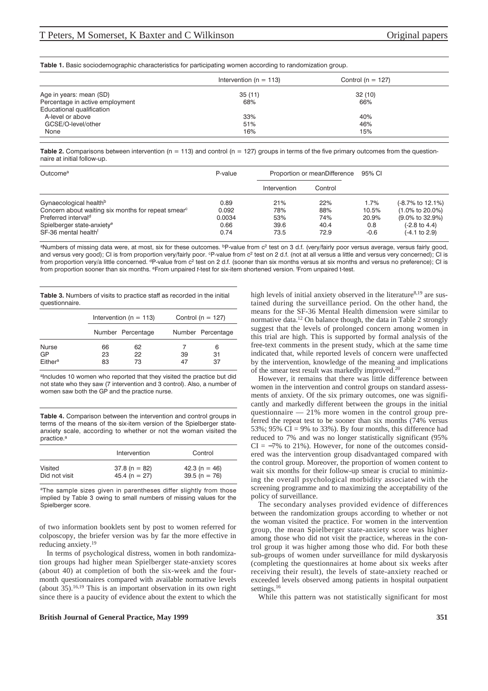**Table 1.** Basic sociodemographic characteristics for participating women according to randomization group.

|                                 | Intervention ( $n = 113$ ) | Control ( $n = 127$ ) |  |
|---------------------------------|----------------------------|-----------------------|--|
| Age in years: mean (SD)         | 35(11)                     | 32(10)                |  |
| Percentage in active employment | 68%                        | 66%                   |  |
| Educational qualification       |                            |                       |  |
| A-level or above                | 33%                        | 40%                   |  |
| GCSE/O-level/other              | 51%                        | 46%                   |  |
| None                            | 16%                        | 15%                   |  |

**Table 2.** Comparisons between intervention (n = 113) and control (n = 127) groups in terms of the five primary outcomes from the questionnaire at initial follow-up.

| Outcome <sup>a</sup>                                           | P-value | Proportion or meanDifference |         | 95% CI |                              |
|----------------------------------------------------------------|---------|------------------------------|---------|--------|------------------------------|
|                                                                |         | Intervention                 | Control |        |                              |
| Gynaecological health <sup>b</sup>                             | 0.89    | 21%                          | 22%     | 1.7%   | (-8.7% to 12.1%)             |
| Concern about waiting six months for repeat smear <sup>c</sup> | 0.092   | 78%                          | 88%     | 10.5%  | $(1.0\% \text{ to } 20.0\%)$ |
| Preferred interval <sup>d</sup>                                | 0.0034  | 53%                          | 74%     | 20.9%  | $(9.0\% \text{ to } 32.9\%)$ |
| Spielberger state-anxiety <sup>e</sup>                         | 0.66    | 39.6                         | 40.4    | 0.8    | $(-2.8 \text{ to } 4.4)$     |
| SF-36 mental health <sup>f</sup>                               | 0.74    | 73.5                         | 72.9    | $-0.6$ | $(-4.1 \text{ to } 2.9)$     |

aNumbers of missing data were, at most, six for these outcomes. bp-value from c<sup>2</sup> test on 3 d.f. (very/fairly poor versus average, versus fairly good, and versus very good); CI is from proportion very/fairly poor. <sup>c</sup>P-value from c<sup>2</sup> test on 2 d.f. (not at all versus a little and versus very concerned); CI is from proportion very/a little concerned. <sup>d</sup>P-value from c<sup>2</sup> test on 2 d.f. (sooner than six months versus at six months and versus no preference); CI is from proportion sooner than six months. eFrom unpaired *t*-test for six-item shortened version. f From unpaired t-test.

**Table 3.** Numbers of visits to practice staff as recorded in the initial questionnaire.

|                                           | Intervention ( $n = 113$ ) |                   | Control ( $n = 127$ ) |                   |
|-------------------------------------------|----------------------------|-------------------|-----------------------|-------------------|
|                                           |                            | Number Percentage |                       | Number Percentage |
| <b>Nurse</b><br>GP<br>Either <sup>a</sup> | 66<br>23<br>83             | 62<br>22<br>73    | 39<br>47              | 6<br>31<br>37     |

aIncludes 10 women who reported that they visited the practice but did not state who they saw (7 intervention and 3 control). Also, a number of women saw both the GP and the practice nurse.

**Table 4.** Comparison between the intervention and control groups in terms of the means of the six-item version of the Spielberger stateanxiety scale, according to whether or not the woman visited the practice<sup>a</sup>

|               | Intervention   | Control        |  |
|---------------|----------------|----------------|--|
| Visited       | $37.8(n = 82)$ | 42.3 (n = 46)  |  |
| Did not visit | 45.4 (n = 27)  | $39.5(n = 76)$ |  |

aThe sample sizes given in parentheses differ slightly from those implied by Table 3 owing to small numbers of missing values for the Spielberger score.

of two information booklets sent by post to women referred for colposcopy, the briefer version was by far the more effective in reducing anxiety.19

In terms of psychological distress, women in both randomization groups had higher mean Spielberger state-anxiety scores (about 40) at completion of both the six-week and the fourmonth questionnaires compared with available normative levels (about  $35$ ).<sup>16,19</sup> This is an important observation in its own right since there is a paucity of evidence about the extent to which the

### **British Journal of General Practice, May 1999 351**

high levels of initial anxiety observed in the literature $8,19$  are sustained during the surveillance period. On the other hand, the means for the SF-36 Mental Health dimension were similar to normative data.12 On balance though, the data in Table 2 strongly suggest that the levels of prolonged concern among women in this trial are high. This is supported by formal analysis of the free-text comments in the present study, which at the same time indicated that, while reported levels of concern were unaffected by the intervention, knowledge of the meaning and implications of the smear test result was markedly improved.20

However, it remains that there was little difference between women in the intervention and control groups on standard assessments of anxiety. Of the six primary outcomes, one was significantly and markedly different between the groups in the initial questionnaire — 21% more women in the control group preferred the repeat test to be sooner than six months (74% versus 53%; 95% CI = 9% to 33%). By four months, this difference had reduced to 7% and was no longer statistically significant (95%  $CI = -7\%$  to 21%). However, for none of the outcomes considered was the intervention group disadvantaged compared with the control group. Moreover, the proportion of women content to wait six months for their follow-up smear is crucial to minimizing the overall psychological morbidity associated with the screening programme and to maximizing the acceptability of the policy of surveillance.

The secondary analyses provided evidence of differences between the randomization groups according to whether or not the woman visited the practice. For women in the intervention group, the mean Spielberger state-anxiety score was higher among those who did not visit the practice, whereas in the control group it was higher among those who did. For both these sub-groups of women under surveillance for mild dyskaryosis (completing the questionnaires at home about six weeks after receiving their result), the levels of state-anxiety reached or exceeded levels observed among patients in hospital outpatient settings.<sup>16</sup>

While this pattern was not statistically significant for most